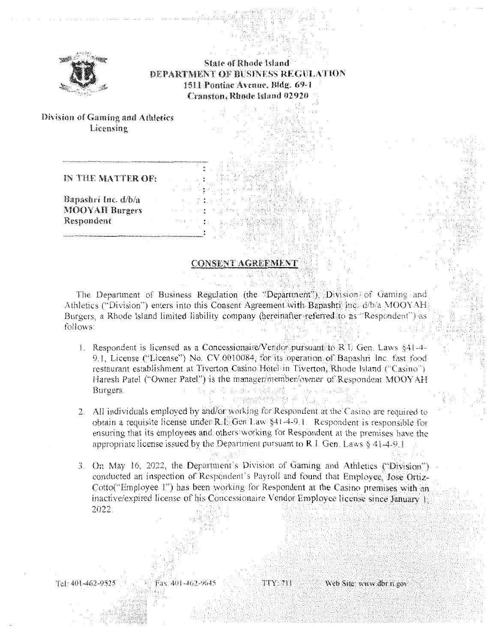

**State of Rhode Island** DEPARTMENT OF BUSINESS REGULATION 1511 Pontiac Avenue, Bldg. 69-1 Cranston, Rhode Island 02920

Division of Gaming and Athletics Licensing

### IN THE MATTER OF:

Bapashri Inc. d/b/a **MOOYAH Burgers** Respondent

#### **CONSENT AGREEMENT**

The Department of Business Regulation (the "Department"), Division of Gaming and Athletics ("Division") enters into this Consent Agreement with Bapashti Inc. d/b/a MOOYAH. Burgers, a Rhode Island limited liability company (hereinafter-referred-to-as "Respondent") as follows:

1. Respondent is licensed as a Concessionaire/Vendor pursuant to R.I. Gen. Laws §41-4-9.1. License ("License") No. CV.0010084. for its operation of Bapashri Inc. fast food restaurant establishment at Tiverton Casino. Hotel in Tiverton, Rhode Island ("Casino"). Haresh Patel ("Owner Patel") is the manager/member/owner of Respondent MOOYAH Burgers. 19 两年的 第四字录

86 AN

ağı M

- 2. All individuals employed by and/or working for Respondent at the Casino are required to obtain a requisite license under  $R.E.Gen Law$  §41-4-9.1. Respondent is responsible for ensuring that its employees and others working for Respondent at the premises have the appropriate license issued by the Department pursuant to R.I. Gen. Laws § 41-4-9.1.
- 3. On May 16, 2022, the Department's Division of Gaming and Athletics ("Division") conducted an inspection of Respondent's Payroll and found that Employee. Jose Ortiz-Cotto("Employee 1") has been working for Respondent at the Casino premises with an inactive/expired license of his Concessionaire Vendor Employee license since January 1. 2022.

TTY 711

Tel: 401-462-9525

Fax: 401-462-9645

Web Site: www.dbr.ri.gov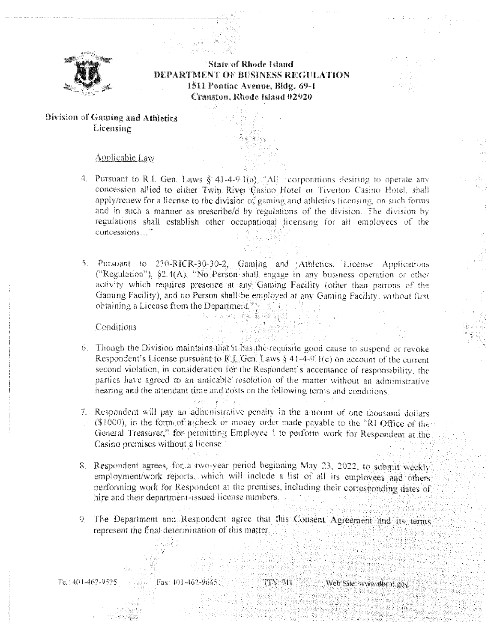

**State of Rhode Island** DEPARTMENT OF BUSINESS REGULATION 1511 Pontiac Avenue, Bldg. 69-1. **Cranston, Rhode Island 02920** 

# Division of Gaming and Athletics Licensing

#### **Applicable Law**

- 4. Pursuant to R.I. Gen. Laws § 41-4-9.1(a), "All. corporations desiring to operate any concession allied to either Twin River Casino Hotel or Tiverton Casino Hotel, shall apply/renew for a license to the division of gaming and athletics licensing, on such forms and in such a manner as prescribe/d by regulations of the division. The division by regulations shall establish other occupational licensing for all employees of the concessions..."
- 5. Pursuant to 230-RICR-30-30-2, Gaming and Athletics, License Applications ("Regulation"), §2.4(A), "No Person shall engage in any business operation or other activity which requires presence at any Gaming Facility (other than patrons of the Gaming Facility), and no Person shall be employed at any Gaming Facility, without first obtaining a License from the Department.

**THE WAR WIRELESS** 

#### Conditions

- 6. Though the Division maintains that it has the requisite good cause to suspend or revoke Respondent's License pursuant to R.J. Gen. Laws § 41-4-9.1(c) on account of the current second violation, in consideration for the Respondent's acceptance of responsibility, the parties have agreed to an amicable resolution of the matter without an administrative hearing and the attendant time and costs on the following terms and conditions.
- 7. Respondent will pay an administrative penalty in the amount of one thousand dollars (\$1000), in the form of a check or money order made payable to the "RI Office of the General Treasurer," for permitting Employee 1 to perform work for Respondent at the Casino premises without a license.
- 8. Respondent agrees, for a two-year period beginning May 23, 2022, to submit weekly employment/work reports, which will include a list of all its employees and others performing work for Respondent at the premises, including their corresponding dates of hire and their department-issued license numbers.
- 9. The Department and Respondent agree that this Consent Agreement and its terms represent the final determination of this matter.

Tel: 401-462-9525

Fax: 401-462-9645

TTY 711 Web Site: www.dbr.ri.gov